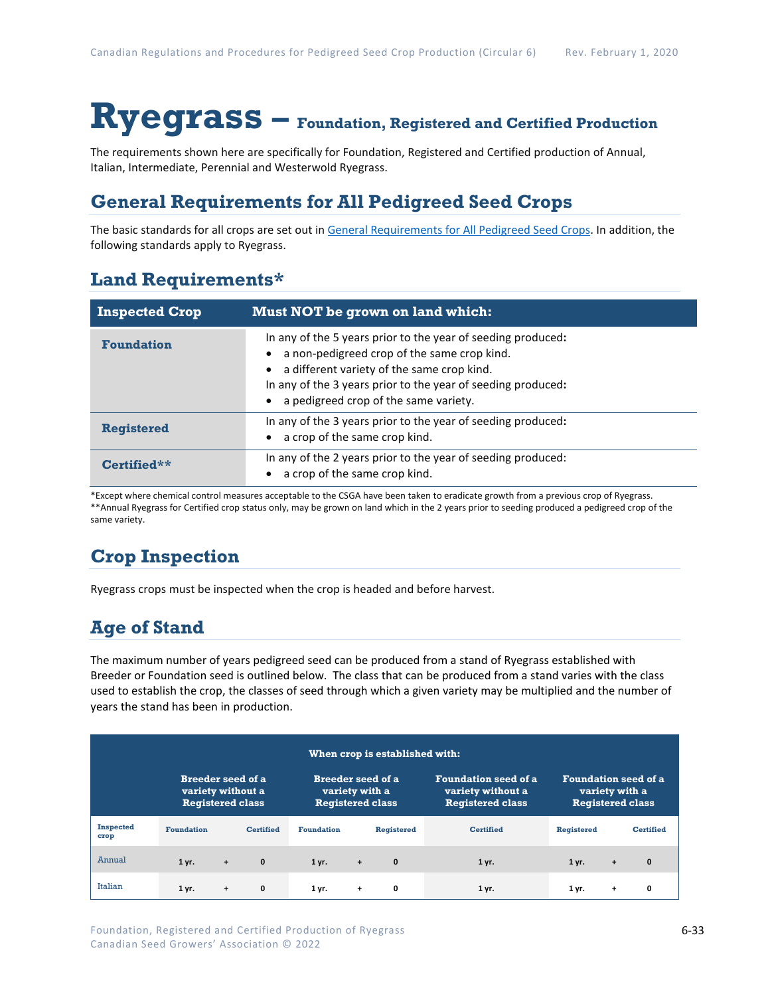# **Ryegrass – Foundation, Registered and Certified Production**

The requirements shown here are specifically for Foundation, Registered and Certified production of Annual, Italian, Intermediate, Perennial and Westerwold Ryegrass.

### **General Requirements for All Pedigreed Seed Crops**

The basic standards for all crops are set out i[n General Requirements for All Pedigreed Seed](https://seedgrowers.ca/wp-content/uploads/2020/01/GENERAL-REQUIREMENTS-ALL-CROPS_EN.pdf) Crops. In addition, the following standards apply to Ryegrass.

### **Land Requirements\***

| <b>Inspected Crop</b> | Must NOT be grown on land which:                                                                                                                                                                                                                                   |
|-----------------------|--------------------------------------------------------------------------------------------------------------------------------------------------------------------------------------------------------------------------------------------------------------------|
| <b>Foundation</b>     | In any of the 5 years prior to the year of seeding produced:<br>a non-pedigreed crop of the same crop kind.<br>a different variety of the same crop kind.<br>In any of the 3 years prior to the year of seeding produced:<br>a pedigreed crop of the same variety. |
| <b>Registered</b>     | In any of the 3 years prior to the year of seeding produced:<br>a crop of the same crop kind.                                                                                                                                                                      |
| Certified**           | In any of the 2 years prior to the year of seeding produced:<br>a crop of the same crop kind.                                                                                                                                                                      |

\*Except where chemical control measures acceptable to the CSGA have been taken to eradicate growth from a previous crop of Ryegrass. \*\*Annual Ryegrass for Certified crop status only, may be grown on land which in the 2 years prior to seeding produced a pedigreed crop of the same variety.

## **Crop Inspection**

Ryegrass crops must be inspected when the crop is headed and before harvest.

## **Age of Stand**

The maximum number of years pedigreed seed can be produced from a stand of Ryegrass established with Breeder or Foundation seed is outlined below. The class that can be produced from a stand varies with the class used to establish the crop, the classes of seed through which a given variety may be multiplied and the number of years the stand has been in production.

| When crop is established with: |                                                                          |           |                                                                       |                   |     |                                                                             |                                                                          |                   |           |                  |
|--------------------------------|--------------------------------------------------------------------------|-----------|-----------------------------------------------------------------------|-------------------|-----|-----------------------------------------------------------------------------|--------------------------------------------------------------------------|-------------------|-----------|------------------|
|                                | <b>Breeder seed of a</b><br>variety without a<br><b>Registered class</b> |           | <b>Breeder seed of a</b><br>variety with a<br><b>Registered class</b> |                   |     | <b>Foundation seed of a</b><br>variety without a<br><b>Registered class</b> | <b>Foundation seed of a</b><br>variety with a<br><b>Registered class</b> |                   |           |                  |
| <b>Inspected</b><br>crop       | <b>Foundation</b>                                                        |           | <b>Certified</b>                                                      | <b>Foundation</b> |     | <b>Registered</b>                                                           | <b>Certified</b>                                                         | <b>Registered</b> |           | <b>Certified</b> |
| Annual                         | $1$ yr.                                                                  | $+$       | $\mathbf{0}$                                                          | $1$ yr.           | $+$ | $\mathbf{0}$                                                                | $1$ yr.                                                                  | $1$ yr.           | $\ddot{}$ | $\mathbf{0}$     |
| Italian                        | 1 yr.                                                                    | $\ddot{}$ | 0                                                                     | 1 yr.             | $+$ | 0                                                                           | 1 yr.                                                                    | 1 yr.             | $\ddot{}$ | 0                |

Foundation, Registered and Certified Production of Ryegrass Canadian Seed Growers' Association © 2022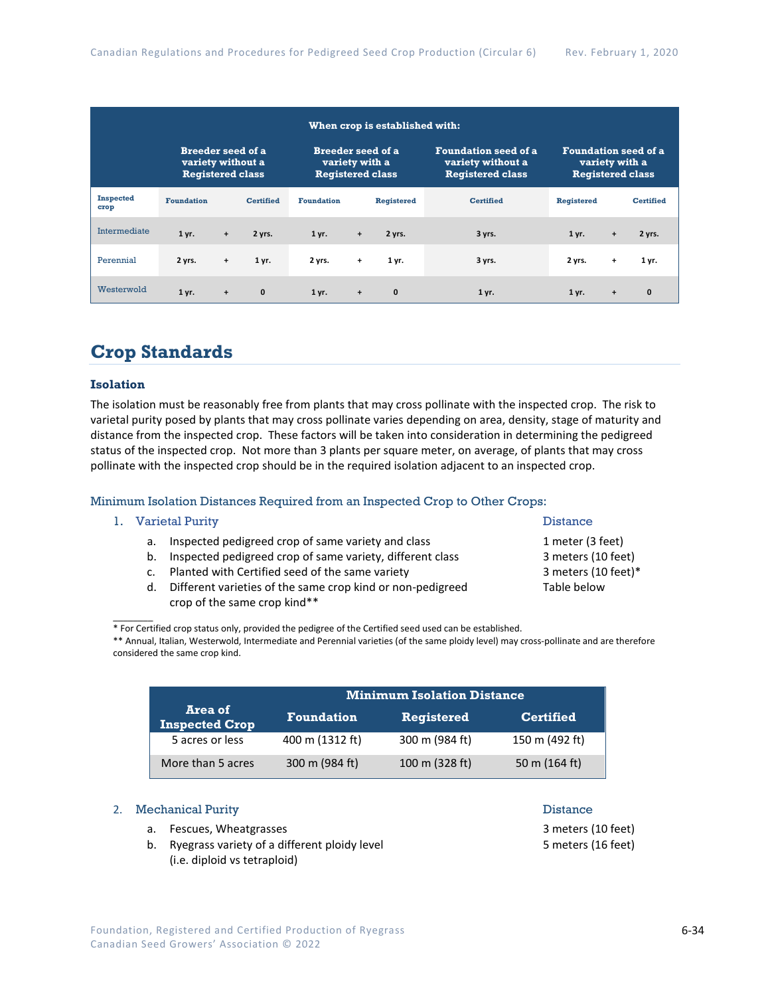| When crop is established with:                                           |                   |                                                                       |                  |                   |                                                                                                                                                         |              |                  |                   |           |                  |
|--------------------------------------------------------------------------|-------------------|-----------------------------------------------------------------------|------------------|-------------------|---------------------------------------------------------------------------------------------------------------------------------------------------------|--------------|------------------|-------------------|-----------|------------------|
| <b>Breeder seed of a</b><br>variety without a<br><b>Registered class</b> |                   | <b>Breeder seed of a</b><br>variety with a<br><b>Registered class</b> |                  |                   | <b>Foundation seed of a</b><br><b>Foundation seed of a</b><br>variety without a<br>variety with a<br><b>Registered class</b><br><b>Registered class</b> |              |                  |                   |           |                  |
| <b>Inspected</b><br>crop                                                 | <b>Foundation</b> |                                                                       | <b>Certified</b> | <b>Foundation</b> |                                                                                                                                                         | Registered   | <b>Certified</b> | <b>Registered</b> |           | <b>Certified</b> |
| Intermediate                                                             | 1 yr.             | $\ddot{}$                                                             | 2 yrs.           | 1 yr.             | $\ddot{}$                                                                                                                                               | 2 yrs.       | 3 yrs.           | 1 yr.             | $+$       | 2 yrs.           |
| Perennial                                                                | 2 yrs.            | $\ddot{}$                                                             | 1 yr.            | 2 yrs.            | $\ddot{}$                                                                                                                                               | 1 yr.        | 3 yrs.           | 2 yrs.            | $\ddot{}$ | 1 yr.            |
| Westerwold                                                               | 1 yr.             | $\ddot{}$                                                             | $\mathbf{0}$     | 1 yr.             | $\ddot{}$                                                                                                                                               | $\mathbf{0}$ | 1 yr.            | 1 yr.             | $+$       | $\mathbf{0}$     |

### **Crop Standards**

#### **Isolation**

The isolation must be reasonably free from plants that may cross pollinate with the inspected crop. The risk to varietal purity posed by plants that may cross pollinate varies depending on area, density, stage of maturity and distance from the inspected crop. These factors will be taken into consideration in determining the pedigreed status of the inspected crop. Not more than 3 plants per square meter, on average, of plants that may cross pollinate with the inspected crop should be in the required isolation adjacent to an inspected crop.

#### Minimum Isolation Distances Required from an Inspected Crop to Other Crops:

#### 1. Varietal Purity **Distance**

 $\mathcal{L}$ 

- a. Inspected pedigreed crop of same variety and class 1 meter (3 feet)
- b. Inspected pedigreed crop of same variety, different class 3 meters (10 feet)
- c. Planted with Certified seed of the same variety **3** meters (10 feet)\*
- d. Different varieties of the same crop kind or non-pedigreed Table below crop of the same crop kind\*\*

\* For Certified crop status only, provided the pedigree of the Certified seed used can be established.

\*\* Annual, Italian, Westerwold, Intermediate and Perennial varieties (of the same ploidy level) may cross-pollinate and are therefore considered the same crop kind.

|                                  | <b>Minimum Isolation Distance</b> |                   |                  |  |  |  |  |  |
|----------------------------------|-----------------------------------|-------------------|------------------|--|--|--|--|--|
| Area of<br><b>Inspected Crop</b> | <b>Foundation</b>                 | <b>Registered</b> | <b>Certified</b> |  |  |  |  |  |
| 5 acres or less                  | 400 m (1312 ft)                   | 300 m (984 ft)    | 150 m (492 ft)   |  |  |  |  |  |
| More than 5 acres                | 300 m (984 ft)                    | 100 m (328 ft)    | 50 m (164 ft)    |  |  |  |  |  |

### 2. Mechanical Purity **Distance 2. Distance**

- a. Fescues, Wheatgrasses 3 meters (10 feet)
- b. Ryegrass variety of a different ploidy level 5 meters (16 feet) 5 meters (16 feet) (i.e. diploid vs tetraploid)